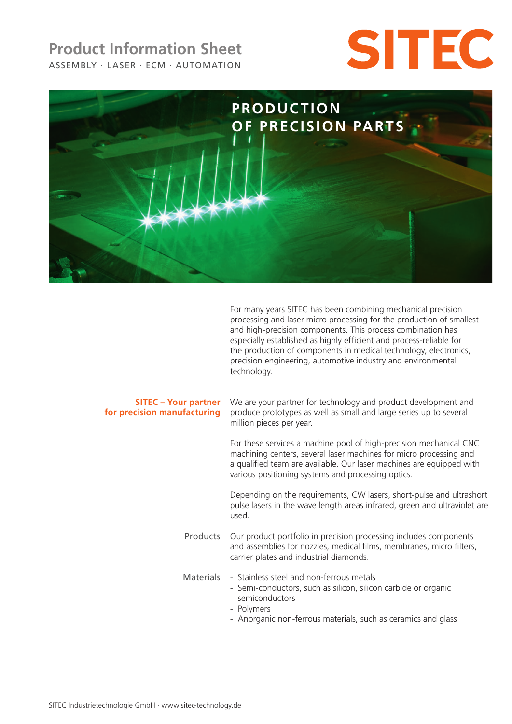# ASSEMBLY · LASER · ECM · AUTOMATION **Product Information Sheet**





For many years SITEC has been combining mechanical precision processing and laser micro processing for the production of smallest and high-precision components. This process combination has especially established as highly efficient and process-reliable for the production of components in medical technology, electronics, precision engineering, automotive industry and environmental technology.

## **SITEC – Your partner for precision manufacturing**

We are your partner for technology and product development and produce prototypes as well as small and large series up to several million pieces per year.

For these services a machine pool of high-precision mechanical CNC machining centers, several laser machines for micro processing and a qualified team are available. Our laser machines are equipped with various positioning systems and processing optics.

Depending on the requirements, CW lasers, short-pulse and ultrashort pulse lasers in the wave length areas infrared, green and ultraviolet are used.

- Products Our product portfolio in precision processing includes components and assemblies for nozzles, medical films, membranes, micro filters, carrier plates and industrial diamonds.
- Materials Stainless steel and non-ferrous metals
	- Semi-conductors, such as silicon, silicon carbide or organic semiconductors
	- Polymers
	- Anorganic non-ferrous materials, such as ceramics and glass